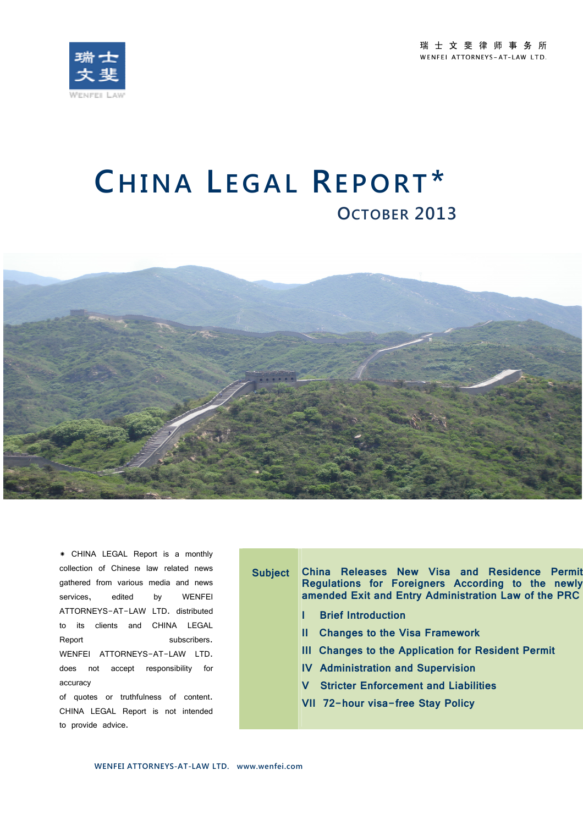



# **CHINA LEGAL REPORT\* <sup>O</sup>CTOBER <sup>2013</sup>**



\* CHINA LEGAL Report is a monthly collection of Chinese law related news gathered from various media and news services, edited by WENFEI ATTORNEYS-AT-LAW LTD. distributed to its clients and CHINA LEGAL Report subscribers. WENFEI ATTORNEYS-AT-LAW LTD. does not accept responsibility for accuracy of quotes or truthfulness of content. CHINA LEGAL Report is not intended

to provide advice.

- **Subject China Releases New Visa and Residence Permit Regulations for Foreigners According to the newly amended Exit and Entry Administration Law of the PRC**
	- **I Brief Introduction**
	- **II Changes to the Visa Framework**
	- **III Changes to the Application for Resident Permit**
	- **IV Administration and Supervision**
	- **V Stricter Enforcement and Liabilities**
	- **VII 72-hour visa-free Stay Policy**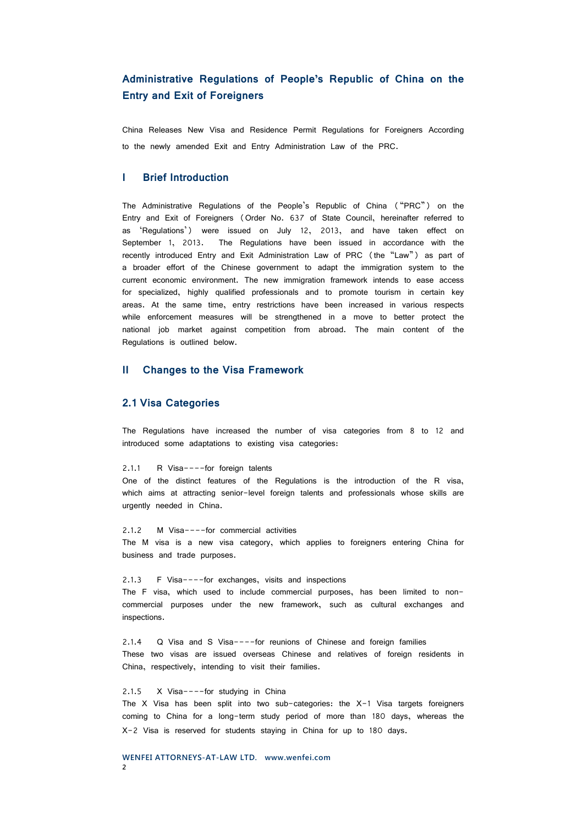# **Administrative Regulations of People's Republic of China on the Entry and Exit of Foreigners**

China Releases New Visa and Residence Permit Regulations for Foreigners According to the newly amended Exit and Entry Administration Law of the PRC.

## **I Brief Introduction**

The Administrative Regulations of the People's Republic of China ("PRC") on the Entry and Exit of Foreigners (Order No. 637 of State Council, hereinafter referred to as 'Regulations') were issued on July 12, 2013, and have taken effect on September 1, 2013. The Regulations have been issued in accordance with the recently introduced Entry and Exit Administration Law of PRC (the "Law") as part of a broader effort of the Chinese government to adapt the immigration system to the current economic environment. The new immigration framework intends to ease access for specialized, highly qualified professionals and to promote tourism in certain key areas. At the same time, entry restrictions have been increased in various respects while enforcement measures will be strengthened in a move to better protect the national job market against competition from abroad. The main content of the Regulations is outlined below.

# **II Changes to the Visa Framework**

#### **2.1 Visa Categories**

The Regulations have increased the number of visa categories from 8 to 12 and introduced some adaptations to existing visa categories:

2.1.1 R Visa----for foreign talents

One of the distinct features of the Regulations is the introduction of the R visa, which aims at attracting senior-level foreign talents and professionals whose skills are urgently needed in China.

2.1.2 M Visa----for commercial activities The M visa is a new visa category, which applies to foreigners entering China for business and trade purposes.

2.1.3 F Visa----for exchanges, visits and inspections The F visa, which used to include commercial purposes, has been limited to noncommercial purposes under the new framework, such as cultural exchanges and inspections.

2.1.4 Q Visa and S Visa----for reunions of Chinese and foreign families These two visas are issued overseas Chinese and relatives of foreign residents in China, respectively, intending to visit their families.

2.1.5 X Visa----for studying in China

The X Visa has been split into two sub-categories: the  $X-1$  Visa targets foreigners coming to China for a long-term study period of more than 180 days, whereas the X-2 Visa is reserved for students staying in China for up to 180 days.

**WENFEI ATTORNEYS-AT-LAW LTD. www.wenfei.com 2**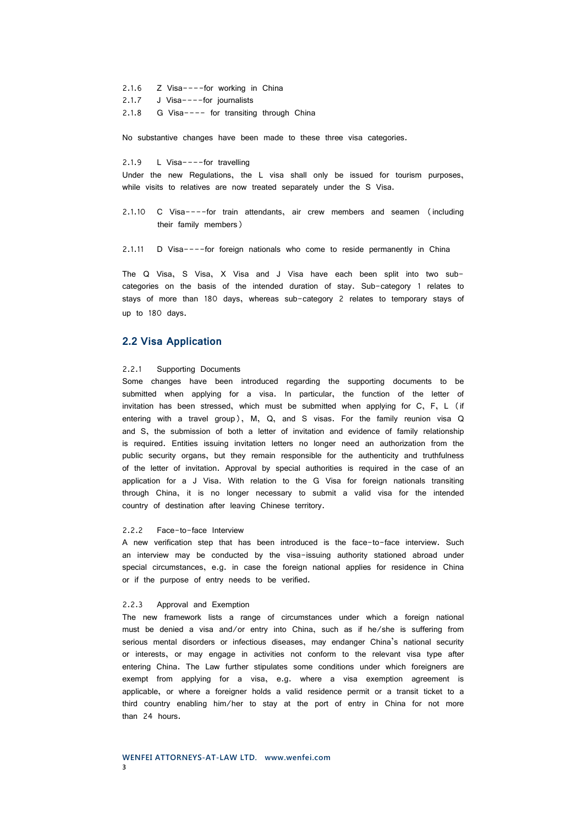2.1.6 Z Visa----for working in China 2.1.7 J Visa----for journalists 2.1.8 G Visa---- for transiting through China

No substantive changes have been made to these three visa categories.

2.1.9 L Visa----for travelling

Under the new Regulations, the L visa shall only be issued for tourism purposes, while visits to relatives are now treated separately under the S Visa.

2.1.10 C Visa----for train attendants, air crew members and seamen (including their family members)

2.1.11 D Visa----for foreign nationals who come to reside permanently in China

The Q Visa, S Visa, X Visa and J Visa have each been split into two subcategories on the basis of the intended duration of stay. Sub-category 1 relates to stays of more than 180 days, whereas sub-category 2 relates to temporary stays of up to 180 days.

## **2.2 Visa Application**

#### 2.2.1 Supporting Documents

Some changes have been introduced regarding the supporting documents to be submitted when applying for a visa. In particular, the function of the letter of invitation has been stressed, which must be submitted when applying for C, F, L (if entering with a travel group), M, Q, and S visas. For the family reunion visa Q and S, the submission of both a letter of invitation and evidence of family relationship is required. Entities issuing invitation letters no longer need an authorization from the public security organs, but they remain responsible for the authenticity and truthfulness of the letter of invitation. Approval by special authorities is required in the case of an application for a J Visa. With relation to the G Visa for foreign nationals transiting through China, it is no longer necessary to submit a valid visa for the intended country of destination after leaving Chinese territory.

#### 2.2.2 Face-to-face Interview

A new verification step that has been introduced is the face-to-face interview. Such an interview may be conducted by the visa-issuing authority stationed abroad under special circumstances, e.g. in case the foreign national applies for residence in China or if the purpose of entry needs to be verified.

#### 2.2.3 Approval and Exemption

The new framework lists a range of circumstances under which a foreign national must be denied a visa and/or entry into China, such as if he/she is suffering from serious mental disorders or infectious diseases, may endanger China's national security or interests, or may engage in activities not conform to the relevant visa type after entering China. The Law further stipulates some conditions under which foreigners are exempt from applying for a visa, e.g. where a visa exemption agreement is applicable, or where a foreigner holds a valid residence permit or a transit ticket to a third country enabling him/her to stay at the port of entry in China for not more than 24 hours.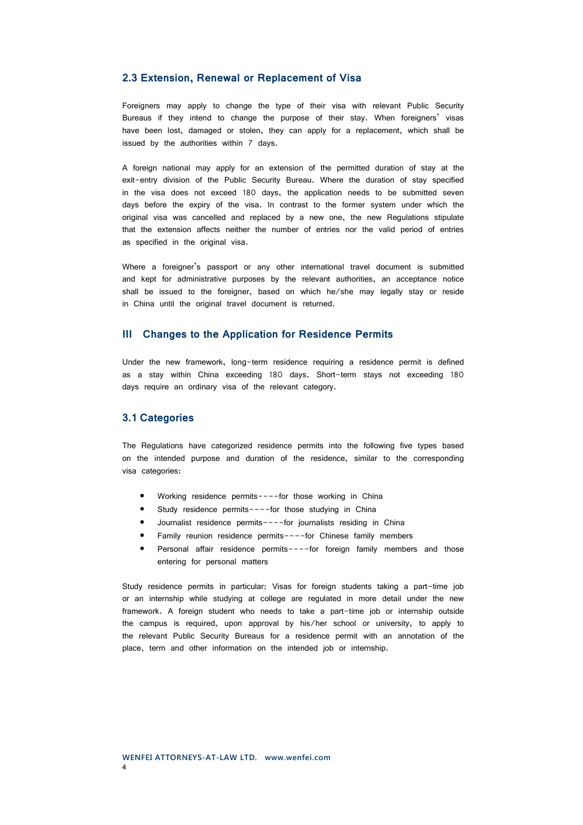# **2.3 Extension, Renewal or Replacement of Visa**

Foreigners may apply to change the type of their visa with relevant Public Security Bureaus if they intend to change the purpose of their stay. When foreigners' visas have been lost, damaged or stolen, they can apply for a replacement, which shall be issued by the authorities within 7 days.

A foreign national may apply for an extension of the permitted duration of stay at the exit-entry division of the Public Security Bureau. Where the duration of stay specified in the visa does not exceed 180 days, the application needs to be submitted seven days before the expiry of the visa. In contrast to the former system under which the original visa was cancelled and replaced by a new one, the new Regulations stipulate that the extension affects neither the number of entries nor the valid period of entries as specified in the original visa.

Where a foreigner's passport or any other international travel document is submitted and kept for administrative purposes by the relevant authorities, an acceptance notice shall be issued to the foreigner, based on which he/she may legally stay or reside in China until the original travel document is returned.

#### **III Changes to the Application for Residence Permits**

Under the new framework, long-term residence requiring a residence permit is defined as a stay within China exceeding 180 days. Short-term stays not exceeding 180 days require an ordinary visa of the relevant category.

# **3.1 Categories**

The Regulations have categorized residence permits into the following five types based on the intended purpose and duration of the residence, similar to the corresponding visa categories:

- Working residence permits----for those working in China
- Study residence permits----for those studying in China
- Journalist residence permits----for journalists residing in China
- Family reunion residence permits----for Chinese family members
- Personal affair residence permits----for foreign family members and those entering for personal matters

Study residence permits in particular: Visas for foreign students taking a part-time job or an internship while studying at college are regulated in more detail under the new framework. A foreign student who needs to take a part-time job or internship outside the campus is required, upon approval by his/her school or university, to apply to the relevant Public Security Bureaus for a residence permit with an annotation of the place, term and other information on the intended job or internship.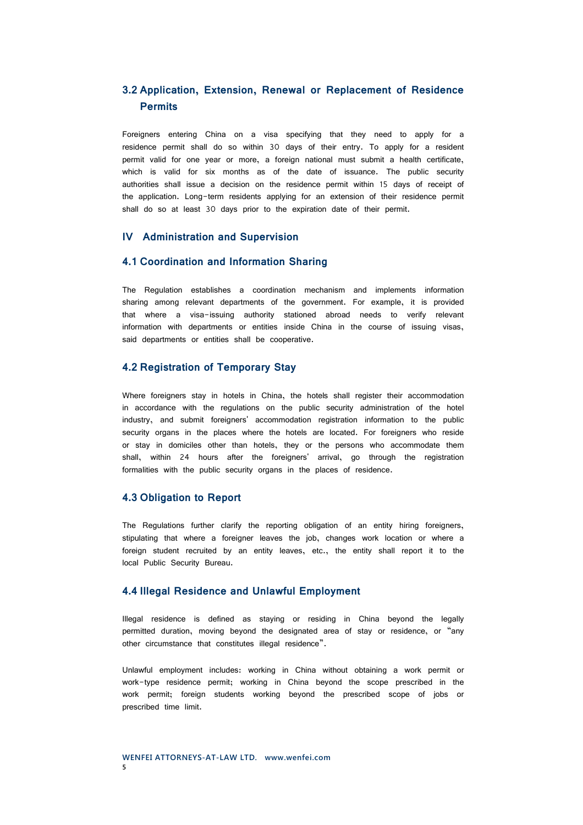# **3.2 Application, Extension, Renewal or Replacement of Residence Permits**

Foreigners entering China on a visa specifying that they need to apply for a residence permit shall do so within 30 days of their entry. To apply for a resident permit valid for one year or more, a foreign national must submit a health certificate, which is valid for six months as of the date of issuance. The public security authorities shall issue a decision on the residence permit within 15 days of receipt of the application. Long-term residents applying for an extension of their residence permit shall do so at least 30 days prior to the expiration date of their permit.

## **IV Administration and Supervision**

# **4.1 Coordination and Information Sharing**

The Regulation establishes a coordination mechanism and implements information sharing among relevant departments of the government. For example, it is provided that where a visa-issuing authority stationed abroad needs to verify relevant information with departments or entities inside China in the course of issuing visas, said departments or entities shall be cooperative.

#### **4.2 Registration of Temporary Stay**

Where foreigners stay in hotels in China, the hotels shall register their accommodation in accordance with the regulations on the public security administration of the hotel industry, and submit foreigners' accommodation registration information to the public security organs in the places where the hotels are located. For foreigners who reside or stay in domiciles other than hotels, they or the persons who accommodate them shall, within 24 hours after the foreigners' arrival, go through the registration formalities with the public security organs in the places of residence.

# **4.3 Obligation to Report**

The Regulations further clarify the reporting obligation of an entity hiring foreigners, stipulating that where a foreigner leaves the job, changes work location or where a foreign student recruited by an entity leaves, etc., the entity shall report it to the local Public Security Bureau.

#### **4.4 Illegal Residence and Unlawful Employment**

Illegal residence is defined as staying or residing in China beyond the legally permitted duration, moving beyond the designated area of stay or residence, or "any other circumstance that constitutes illegal residence".

Unlawful employment includes: working in China without obtaining a work permit or work-type residence permit; working in China beyond the scope prescribed in the work permit; foreign students working beyond the prescribed scope of jobs or prescribed time limit.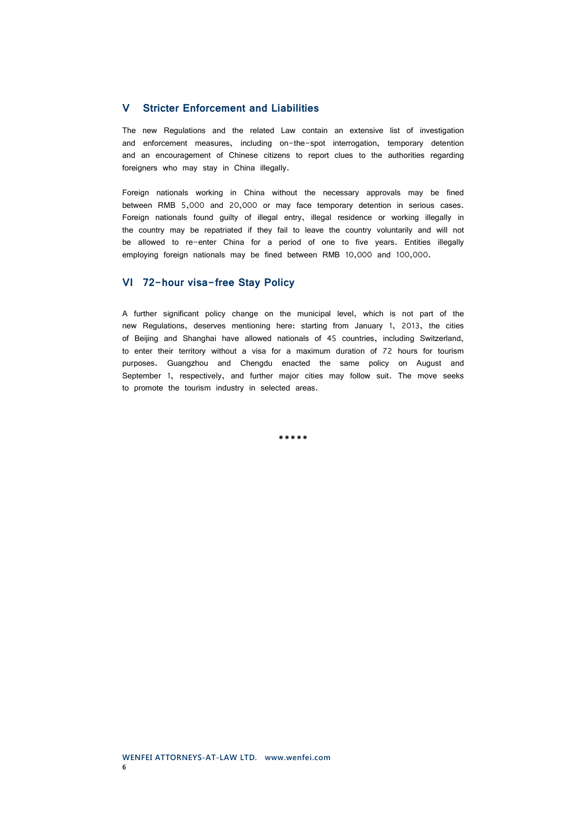# **V Stricter Enforcement and Liabilities**

The new Regulations and the related Law contain an extensive list of investigation and enforcement measures, including on-the-spot interrogation, temporary detention and an encouragement of Chinese citizens to report clues to the authorities regarding foreigners who may stay in China illegally.

Foreign nationals working in China without the necessary approvals may be fined between RMB 5,000 and 20,000 or may face temporary detention in serious cases. Foreign nationals found guilty of illegal entry, illegal residence or working illegally in the country may be repatriated if they fail to leave the country voluntarily and will not be allowed to re-enter China for a period of one to five years. Entities illegally employing foreign nationals may be fined between RMB 10,000 and 100,000.

# **VI 72-hour visa-free Stay Policy**

A further significant policy change on the municipal level, which is not part of the new Regulations, deserves mentioning here: starting from January 1, 2013, the cities of Beijing and Shanghai have allowed nationals of 45 countries, including Switzerland, to enter their territory without a visa for a maximum duration of 72 hours for tourism purposes. Guangzhou and Chengdu enacted the same policy on August and September 1, respectively, and further major cities may follow suit. The move seeks to promote the tourism industry in selected areas.

\*\*\*\*\*